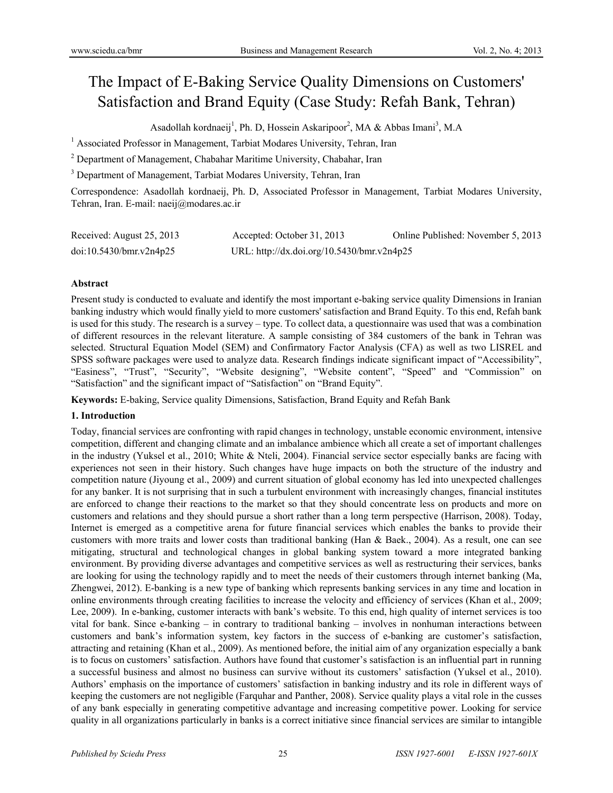# The Impact of E-Baking Service Quality Dimensions on Customers' Satisfaction and Brand Equity (Case Study: Refah Bank, Tehran)

Asadollah kordnaeij<sup>1</sup>, Ph. D, Hossein Askaripoor<sup>2</sup>, MA & Abbas Imani<sup>3</sup>, M.A

<sup>1</sup> Associated Professor in Management, Tarbiat Modares University, Tehran, Iran

<sup>2</sup> Department of Management, Chabahar Maritime University, Chabahar, Iran

<sup>3</sup> Department of Management, Tarbiat Modares University, Tehran, Iran

Correspondence: Asadollah kordnaeij, Ph. D, Associated Professor in Management, Tarbiat Modares University, Tehran, Iran. E-mail: naeij@modares.ac.ir

| Received: August 25, 2013 | Accepted: October 31, 2013                 | Online Published: November 5, 2013 |
|---------------------------|--------------------------------------------|------------------------------------|
| doi:10.5430/bmr.v2n4p25   | URL: http://dx.doi.org/10.5430/bmr.v2n4p25 |                                    |

#### **Abstract**

Present study is conducted to evaluate and identify the most important e-baking service quality Dimensions in Iranian banking industry which would finally yield to more customers' satisfaction and Brand Equity. To this end, Refah bank is used for this study. The research is a survey – type. To collect data, a questionnaire was used that was a combination of different resources in the relevant literature. A sample consisting of 384 customers of the bank in Tehran was selected. Structural Equation Model (SEM) and Confirmatory Factor Analysis (CFA) as well as two LISREL and SPSS software packages were used to analyze data. Research findings indicate significant impact of "Accessibility", "Easiness", "Trust", "Security", "Website designing", "Website content", "Speed" and "Commission" on "Satisfaction" and the significant impact of "Satisfaction" on "Brand Equity".

**Keywords:** E-baking, Service quality Dimensions, Satisfaction, Brand Equity and Refah Bank

## **1. Introduction**

Today, financial services are confronting with rapid changes in technology, unstable economic environment, intensive competition, different and changing climate and an imbalance ambience which all create a set of important challenges in the industry (Yuksel et al., 2010; White & Nteli, 2004). Financial service sector especially banks are facing with experiences not seen in their history. Such changes have huge impacts on both the structure of the industry and competition nature (Jiyoung et al., 2009) and current situation of global economy has led into unexpected challenges for any banker. It is not surprising that in such a turbulent environment with increasingly changes, financial institutes are enforced to change their reactions to the market so that they should concentrate less on products and more on customers and relations and they should pursue a short rather than a long term perspective (Harrison, 2008). Today, Internet is emerged as a competitive arena for future financial services which enables the banks to provide their customers with more traits and lower costs than traditional banking (Han & Baek., 2004). As a result, one can see mitigating, structural and technological changes in global banking system toward a more integrated banking environment. By providing diverse advantages and competitive services as well as restructuring their services, banks are looking for using the technology rapidly and to meet the needs of their customers through internet banking (Ma, Zhengwei, 2012). E-banking is a new type of banking which represents banking services in any time and location in online environments through creating facilities to increase the velocity and efficiency of services (Khan et al., 2009; Lee, 2009). In e-banking, customer interacts with bank's website. To this end, high quality of internet services is too vital for bank. Since e-banking – in contrary to traditional banking – involves in nonhuman interactions between customers and bank's information system, key factors in the success of e-banking are customer's satisfaction, attracting and retaining (Khan et al., 2009). As mentioned before, the initial aim of any organization especially a bank is to focus on customers' satisfaction. Authors have found that customer's satisfaction is an influential part in running a successful business and almost no business can survive without its customers' satisfaction (Yuksel et al., 2010). Authors' emphasis on the importance of customers' satisfaction in banking industry and its role in different ways of keeping the customers are not negligible (Farquhar and Panther, 2008). Service quality plays a vital role in the cusses of any bank especially in generating competitive advantage and increasing competitive power. Looking for service quality in all organizations particularly in banks is a correct initiative since financial services are similar to intangible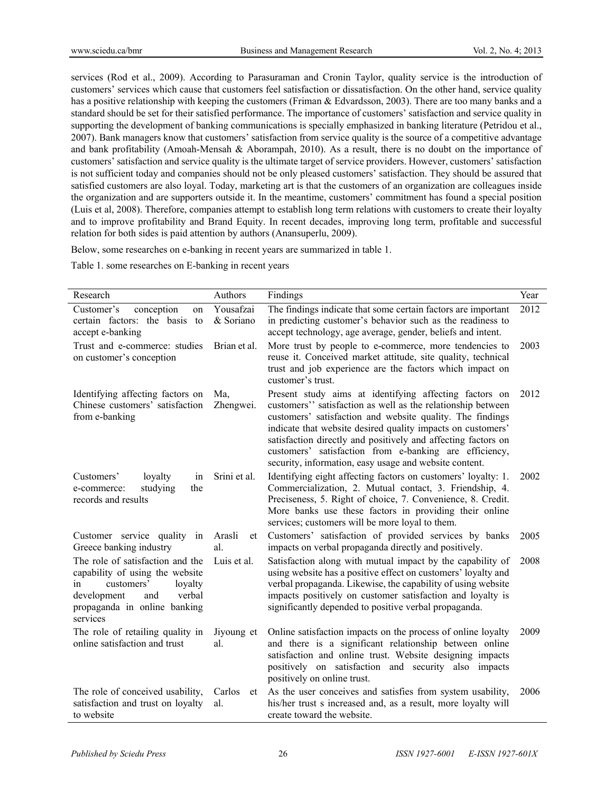services (Rod et al., 2009). According to Parasuraman and Cronin Taylor, quality service is the introduction of customers' services which cause that customers feel satisfaction or dissatisfaction. On the other hand, service quality has a positive relationship with keeping the customers (Friman & Edvardsson, 2003). There are too many banks and a standard should be set for their satisfied performance. The importance of customers' satisfaction and service quality in supporting the development of banking communications is specially emphasized in banking literature (Petridou et al., 2007). Bank managers know that customers' satisfaction from service quality is the source of a competitive advantage and bank profitability (Amoah-Mensah & Aborampah, 2010). As a result, there is no doubt on the importance of customers' satisfaction and service quality is the ultimate target of service providers. However, customers' satisfaction is not sufficient today and companies should not be only pleased customers' satisfaction. They should be assured that satisfied customers are also loyal. Today, marketing art is that the customers of an organization are colleagues inside the organization and are supporters outside it. In the meantime, customers' commitment has found a special position (Luis et al, 2008). Therefore, companies attempt to establish long term relations with customers to create their loyalty and to improve profitability and Brand Equity. In recent decades, improving long term, profitable and successful relation for both sides is paid attention by authors (Anansuperlu, 2009).

Below, some researches on e-banking in recent years are summarized in table 1.

Table 1. some researches on E-banking in recent years

| Research                                                                                                                                                                       | Authors             | Findings                                                                                                                                                                                                                                                                                                                                                                                                                               | Year |
|--------------------------------------------------------------------------------------------------------------------------------------------------------------------------------|---------------------|----------------------------------------------------------------------------------------------------------------------------------------------------------------------------------------------------------------------------------------------------------------------------------------------------------------------------------------------------------------------------------------------------------------------------------------|------|
| Customer's<br>conception<br>on                                                                                                                                                 | Yousafzai           | The findings indicate that some certain factors are important                                                                                                                                                                                                                                                                                                                                                                          | 2012 |
| certain factors: the basis to<br>accept e-banking                                                                                                                              | & Soriano           | in predicting customer's behavior such as the readiness to<br>accept technology, age average, gender, beliefs and intent.                                                                                                                                                                                                                                                                                                              |      |
| Trust and e-commerce: studies<br>on customer's conception                                                                                                                      | Brian et al.        | More trust by people to e-commerce, more tendencies to<br>reuse it. Conceived market attitude, site quality, technical<br>trust and job experience are the factors which impact on<br>customer's trust.                                                                                                                                                                                                                                | 2003 |
| Identifying affecting factors on<br>Chinese customers' satisfaction<br>from e-banking                                                                                          | Ma,<br>Zhengwei.    | Present study aims at identifying affecting factors on<br>customers" satisfaction as well as the relationship between<br>customers' satisfaction and website quality. The findings<br>indicate that website desired quality impacts on customers'<br>satisfaction directly and positively and affecting factors on<br>customers' satisfaction from e-banking are efficiency,<br>security, information, easy usage and website content. | 2012 |
| Customers'<br>loyalty<br>in<br>studying<br>the<br>e-commerce:<br>records and results                                                                                           | Srini et al.        | Identifying eight affecting factors on customers' loyalty: 1.<br>Commercialization, 2. Mutual contact, 3. Friendship, 4.<br>Preciseness, 5. Right of choice, 7. Convenience, 8. Credit.<br>More banks use these factors in providing their online<br>services; customers will be more loyal to them.                                                                                                                                   | 2002 |
| Customer service quality in<br>Greece banking industry                                                                                                                         | Arasli<br>et<br>al. | Customers' satisfaction of provided services by banks<br>impacts on verbal propaganda directly and positively.                                                                                                                                                                                                                                                                                                                         | 2005 |
| The role of satisfaction and the<br>capability of using the website<br>customers'<br>loyalty<br>in<br>verbal<br>development<br>and<br>propaganda in online banking<br>services | Luis et al.         | Satisfaction along with mutual impact by the capability of<br>using website has a positive effect on customers' loyalty and<br>verbal propaganda. Likewise, the capability of using website<br>impacts positively on customer satisfaction and loyalty is<br>significantly depended to positive verbal propaganda.                                                                                                                     | 2008 |
| The role of retailing quality in<br>online satisfaction and trust                                                                                                              | Jiyoung et<br>al.   | Online satisfaction impacts on the process of online loyalty<br>and there is a significant relationship between online<br>satisfaction and online trust. Website designing impacts<br>positively on satisfaction and security also impacts<br>positively on online trust.                                                                                                                                                              | 2009 |
| The role of conceived usability,<br>satisfaction and trust on loyalty<br>to website                                                                                            | Carlos<br>et<br>al. | As the user conceives and satisfies from system usability,<br>his/her trust s increased and, as a result, more loyalty will<br>create toward the website.                                                                                                                                                                                                                                                                              | 2006 |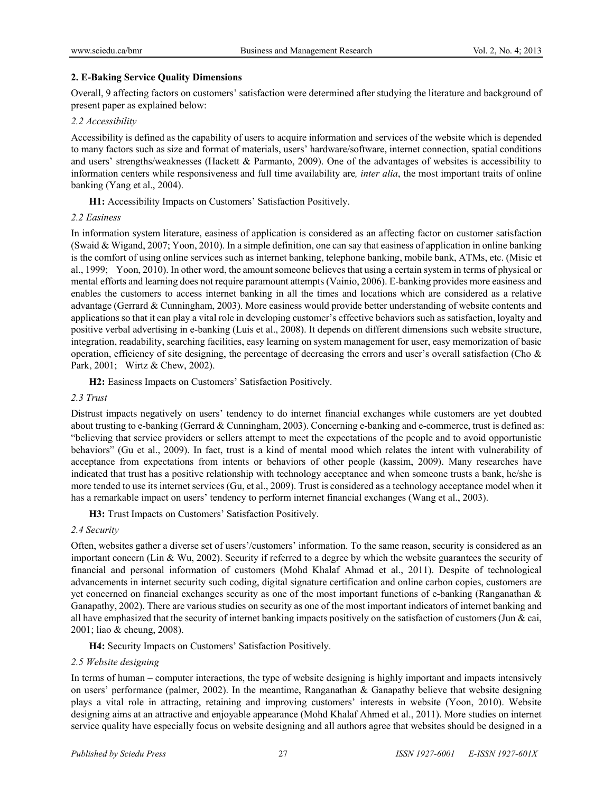## **2. E-Baking Service Quality Dimensions**

Overall, 9 affecting factors on customers' satisfaction were determined after studying the literature and background of present paper as explained below:

## *2.2 Accessibility*

Accessibility is defined as the capability of users to acquire information and services of the website which is depended to many factors such as size and format of materials, users' hardware/software, internet connection, spatial conditions and users' strengths/weaknesses (Hackett & Parmanto, 2009). One of the advantages of websites is accessibility to information centers while responsiveness and full time availability are*, inter alia*, the most important traits of online banking (Yang et al., 2004).

**H1:** Accessibility Impacts on Customers' Satisfaction Positively.

## *2.2 Easiness*

In information system literature, easiness of application is considered as an affecting factor on customer satisfaction (Swaid & Wigand, 2007; Yoon, 2010). In a simple definition, one can say that easiness of application in online banking is the comfort of using online services such as internet banking, telephone banking, mobile bank, ATMs, etc. (Misic et al., 1999; Yoon, 2010). In other word, the amount someone believes that using a certain system in terms of physical or mental efforts and learning does not require paramount attempts (Vainio, 2006). E-banking provides more easiness and enables the customers to access internet banking in all the times and locations which are considered as a relative advantage (Gerrard & Cunningham, 2003). More easiness would provide better understanding of website contents and applications so that it can play a vital role in developing customer's effective behaviors such as satisfaction, loyalty and positive verbal advertising in e-banking (Luis et al., 2008). It depends on different dimensions such website structure, integration, readability, searching facilities, easy learning on system management for user, easy memorization of basic operation, efficiency of site designing, the percentage of decreasing the errors and user's overall satisfaction (Cho  $\&$ Park, 2001; Wirtz & Chew, 2002).

**H2:** Easiness Impacts on Customers' Satisfaction Positively.

## *2.3 Trust*

Distrust impacts negatively on users' tendency to do internet financial exchanges while customers are yet doubted about trusting to e-banking (Gerrard & Cunningham, 2003). Concerning e-banking and e-commerce, trust is defined as: "believing that service providers or sellers attempt to meet the expectations of the people and to avoid opportunistic behaviors" (Gu et al., 2009). In fact, trust is a kind of mental mood which relates the intent with vulnerability of acceptance from expectations from intents or behaviors of other people (kassim, 2009). Many researches have indicated that trust has a positive relationship with technology acceptance and when someone trusts a bank, he/she is more tended to use its internet services (Gu, et al., 2009). Trust is considered as a technology acceptance model when it has a remarkable impact on users' tendency to perform internet financial exchanges (Wang et al., 2003).

**H3:** Trust Impacts on Customers' Satisfaction Positively.

## *2.4 Security*

Often, websites gather a diverse set of users'/customers' information. To the same reason, security is considered as an important concern (Lin & Wu, 2002). Security if referred to a degree by which the website guarantees the security of financial and personal information of customers (Mohd Khalaf Ahmad et al., 2011). Despite of technological advancements in internet security such coding, digital signature certification and online carbon copies, customers are yet concerned on financial exchanges security as one of the most important functions of e-banking (Ranganathan & Ganapathy, 2002). There are various studies on security as one of the most important indicators of internet banking and all have emphasized that the security of internet banking impacts positively on the satisfaction of customers (Jun  $\&$  cai, 2001; liao & cheung, 2008).

**H4:** Security Impacts on Customers' Satisfaction Positively.

## *2.5 Website designing*

In terms of human – computer interactions, the type of website designing is highly important and impacts intensively on users' performance (palmer, 2002). In the meantime, Ranganathan  $\&$  Ganapathy believe that website designing plays a vital role in attracting, retaining and improving customers' interests in website (Yoon, 2010). Website designing aims at an attractive and enjoyable appearance (Mohd Khalaf Ahmed et al., 2011). More studies on internet service quality have especially focus on website designing and all authors agree that websites should be designed in a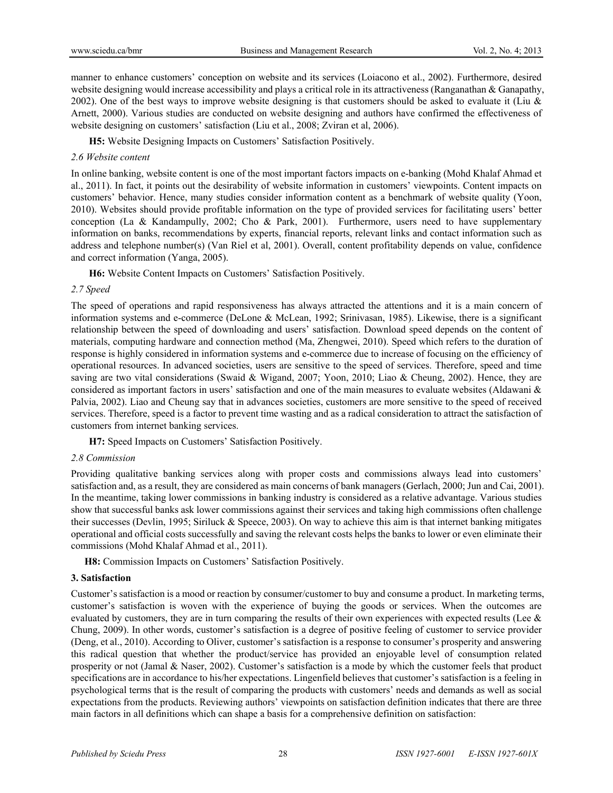manner to enhance customers' conception on website and its services (Loiacono et al., 2002). Furthermore, desired website designing would increase accessibility and plays a critical role in its attractiveness (Ranganathan & Ganapathy, 2002). One of the best ways to improve website designing is that customers should be asked to evaluate it (Liu  $\&$ Arnett, 2000). Various studies are conducted on website designing and authors have confirmed the effectiveness of website designing on customers' satisfaction (Liu et al., 2008; Zviran et al, 2006).

**H5:** Website Designing Impacts on Customers' Satisfaction Positively.

#### *2.6 Website content*

In online banking, website content is one of the most important factors impacts on e-banking (Mohd Khalaf Ahmad et al., 2011). In fact, it points out the desirability of website information in customers' viewpoints. Content impacts on customers' behavior. Hence, many studies consider information content as a benchmark of website quality (Yoon, 2010). Websites should provide profitable information on the type of provided services for facilitating users' better conception (La & Kandampully, 2002; Cho & Park, 2001). Furthermore, users need to have supplementary information on banks, recommendations by experts, financial reports, relevant links and contact information such as address and telephone number(s) (Van Riel et al, 2001). Overall, content profitability depends on value, confidence and correct information (Yanga, 2005).

**H6:** Website Content Impacts on Customers' Satisfaction Positively.

#### *2.7 Speed*

The speed of operations and rapid responsiveness has always attracted the attentions and it is a main concern of information systems and e-commerce (DeLone & McLean, 1992; Srinivasan, 1985). Likewise, there is a significant relationship between the speed of downloading and users' satisfaction. Download speed depends on the content of materials, computing hardware and connection method (Ma, Zhengwei, 2010). Speed which refers to the duration of response is highly considered in information systems and e-commerce due to increase of focusing on the efficiency of operational resources. In advanced societies, users are sensitive to the speed of services. Therefore, speed and time saving are two vital considerations (Swaid & Wigand, 2007; Yoon, 2010; Liao & Cheung, 2002). Hence, they are considered as important factors in users' satisfaction and one of the main measures to evaluate websites (Aldawani & Palvia, 2002). Liao and Cheung say that in advances societies, customers are more sensitive to the speed of received services. Therefore, speed is a factor to prevent time wasting and as a radical consideration to attract the satisfaction of customers from internet banking services.

**H7:** Speed Impacts on Customers' Satisfaction Positively.

#### *2.8 Commission*

Providing qualitative banking services along with proper costs and commissions always lead into customers' satisfaction and, as a result, they are considered as main concerns of bank managers (Gerlach, 2000; Jun and Cai, 2001). In the meantime, taking lower commissions in banking industry is considered as a relative advantage. Various studies show that successful banks ask lower commissions against their services and taking high commissions often challenge their successes (Devlin, 1995; Siriluck & Speece, 2003). On way to achieve this aim is that internet banking mitigates operational and official costs successfully and saving the relevant costs helps the banks to lower or even eliminate their commissions (Mohd Khalaf Ahmad et al., 2011).

**H8:** Commission Impacts on Customers' Satisfaction Positively.

#### **3. Satisfaction**

Customer's satisfaction is a mood or reaction by consumer/customer to buy and consume a product. In marketing terms, customer's satisfaction is woven with the experience of buying the goods or services. When the outcomes are evaluated by customers, they are in turn comparing the results of their own experiences with expected results (Lee  $\&$ Chung, 2009). In other words, customer's satisfaction is a degree of positive feeling of customer to service provider (Deng, et al., 2010). According to Oliver, customer's satisfaction is a response to consumer's prosperity and answering this radical question that whether the product/service has provided an enjoyable level of consumption related prosperity or not (Jamal & Naser, 2002). Customer's satisfaction is a mode by which the customer feels that product specifications are in accordance to his/her expectations. Lingenfield believes that customer's satisfaction is a feeling in psychological terms that is the result of comparing the products with customers' needs and demands as well as social expectations from the products. Reviewing authors' viewpoints on satisfaction definition indicates that there are three main factors in all definitions which can shape a basis for a comprehensive definition on satisfaction: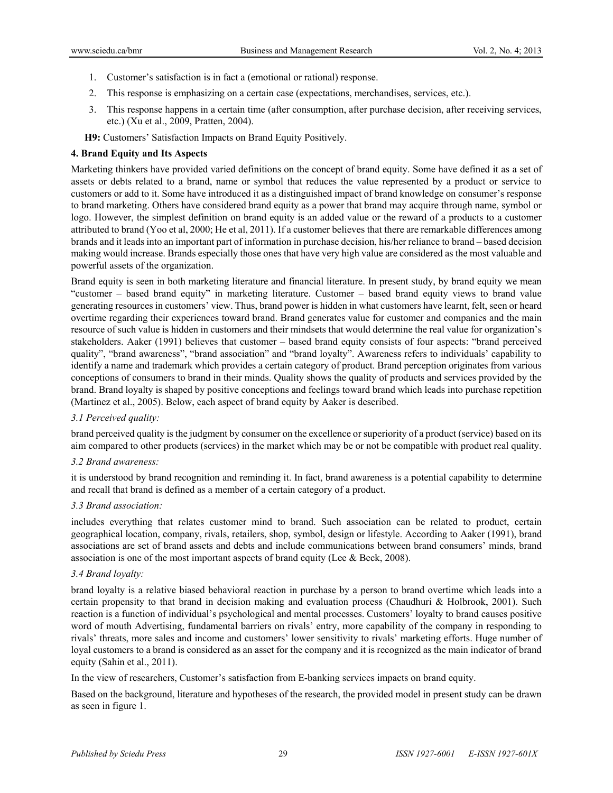- 1. Customer's satisfaction is in fact a (emotional or rational) response.
- 2. This response is emphasizing on a certain case (expectations, merchandises, services, etc.).
- 3. This response happens in a certain time (after consumption, after purchase decision, after receiving services, etc.) (Xu et al., 2009, Pratten, 2004).

**H9:** Customers' Satisfaction Impacts on Brand Equity Positively.

## **4. Brand Equity and Its Aspects**

Marketing thinkers have provided varied definitions on the concept of brand equity. Some have defined it as a set of assets or debts related to a brand, name or symbol that reduces the value represented by a product or service to customers or add to it. Some have introduced it as a distinguished impact of brand knowledge on consumer's response to brand marketing. Others have considered brand equity as a power that brand may acquire through name, symbol or logo. However, the simplest definition on brand equity is an added value or the reward of a products to a customer attributed to brand (Yoo et al, 2000; He et al, 2011). If a customer believes that there are remarkable differences among brands and it leads into an important part of information in purchase decision, his/her reliance to brand – based decision making would increase. Brands especially those ones that have very high value are considered as the most valuable and powerful assets of the organization.

Brand equity is seen in both marketing literature and financial literature. In present study, by brand equity we mean "customer – based brand equity" in marketing literature. Customer – based brand equity views to brand value generating resources in customers' view. Thus, brand power is hidden in what customers have learnt, felt, seen or heard overtime regarding their experiences toward brand. Brand generates value for customer and companies and the main resource of such value is hidden in customers and their mindsets that would determine the real value for organization's stakeholders. Aaker (1991) believes that customer – based brand equity consists of four aspects: "brand perceived quality", "brand awareness", "brand association" and "brand loyalty". Awareness refers to individuals' capability to identify a name and trademark which provides a certain category of product. Brand perception originates from various conceptions of consumers to brand in their minds. Quality shows the quality of products and services provided by the brand. Brand loyalty is shaped by positive conceptions and feelings toward brand which leads into purchase repetition (Martinez et al., 2005). Below, each aspect of brand equity by Aaker is described.

## *3.1 Perceived quality:*

brand perceived quality is the judgment by consumer on the excellence or superiority of a product (service) based on its aim compared to other products (services) in the market which may be or not be compatible with product real quality.

## *3.2 Brand awareness:*

it is understood by brand recognition and reminding it. In fact, brand awareness is a potential capability to determine and recall that brand is defined as a member of a certain category of a product.

## *3.3 Brand association:*

includes everything that relates customer mind to brand. Such association can be related to product, certain geographical location, company, rivals, retailers, shop, symbol, design or lifestyle. According to Aaker (1991), brand associations are set of brand assets and debts and include communications between brand consumers' minds, brand association is one of the most important aspects of brand equity (Lee  $& Beck, 2008$ ).

## *3.4 Brand loyalty:*

brand loyalty is a relative biased behavioral reaction in purchase by a person to brand overtime which leads into a certain propensity to that brand in decision making and evaluation process (Chaudhuri & Holbrook, 2001). Such reaction is a function of individual's psychological and mental processes. Customers' loyalty to brand causes positive word of mouth Advertising, fundamental barriers on rivals' entry, more capability of the company in responding to rivals' threats, more sales and income and customers' lower sensitivity to rivals' marketing efforts. Huge number of loyal customers to a brand is considered as an asset for the company and it is recognized as the main indicator of brand equity (Sahin et al., 2011).

In the view of researchers, Customer's satisfaction from E-banking services impacts on brand equity.

Based on the background, literature and hypotheses of the research, the provided model in present study can be drawn as seen in figure 1.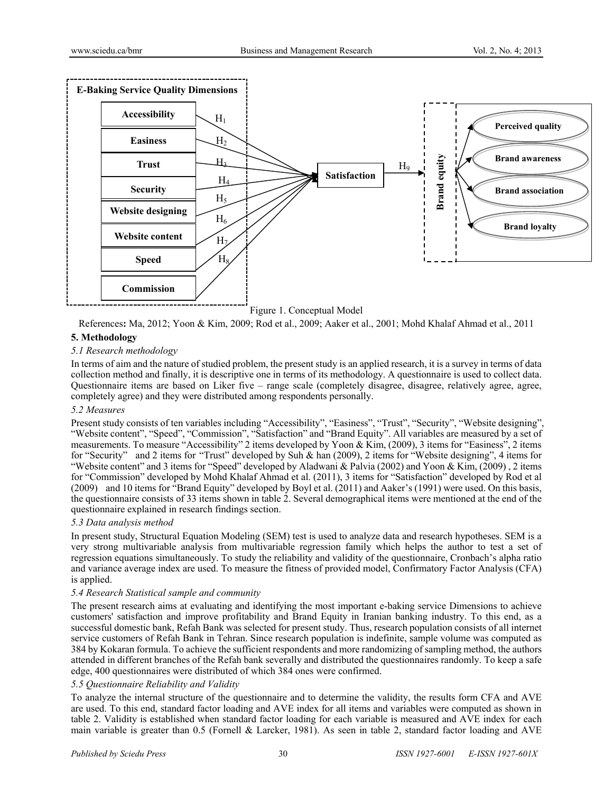

## Figure 1. Conceptual Model

References**:** Ma, 2012; Yoon & Kim, 2009; Rod et al., 2009; Aaker et al., 2001; Mohd Khalaf Ahmad et al., 2011

#### **5. Methodology**

#### *5.1 Research methodology*

In terms of aim and the nature of studied problem, the present study is an applied research, it is a survey in terms of data collection method and finally, it is descriptive one in terms of its methodology. A questionnaire is used to collect data. Questionnaire items are based on Liker five – range scale (completely disagree, disagree, relatively agree, agree, completely agree) and they were distributed among respondents personally.

#### *5.2 Measures*

Present study consists of ten variables including "Accessibility", "Easiness", "Trust", "Security", "Website designing", "Website content", "Speed", "Commission", "Satisfaction" and "Brand Equity". All variables are measured by a set of measurements. To measure "Accessibility" 2 items developed by Yoon & Kim, (2009), 3 items for "Easiness", 2 items for "Security" and 2 items for "Trust" developed by Suh & han (2009), 2 items for "Website designing", 4 items for "Website content" and 3 items for "Speed" developed by Aladwani & Palvia (2002) and Yoon & Kim, (2009) , 2 items for "Commission" developed by Mohd Khalaf Ahmad et al. (2011), 3 items for "Satisfaction" developed by Rod et al (2009) and 10 items for "Brand Equity" developed by Boyl et al. (2011) and Aaker's (1991) were used. On this basis, the questionnaire consists of 33 items shown in table 2. Several demographical items were mentioned at the end of the questionnaire explained in research findings section.

## *5.3 Data analysis method*

In present study, Structural Equation Modeling (SEM) test is used to analyze data and research hypotheses. SEM is a very strong multivariable analysis from multivariable regression family which helps the author to test a set of regression equations simultaneously. To study the reliability and validity of the questionnaire, Cronbach's alpha ratio and variance average index are used. To measure the fitness of provided model, Confirmatory Factor Analysis (CFA) is applied.

#### *5.4 Research Statistical sample and community*

The present research aims at evaluating and identifying the most important e-baking service Dimensions to achieve customers' satisfaction and improve profitability and Brand Equity in Iranian banking industry. To this end, as a successful domestic bank, Refah Bank was selected for present study. Thus, research population consists of all internet service customers of Refah Bank in Tehran. Since research population is indefinite, sample volume was computed as 384 by Kokaran formula. To achieve the sufficient respondents and more randomizing of sampling method, the authors attended in different branches of the Refah bank severally and distributed the questionnaires randomly. To keep a safe edge, 400 questionnaires were distributed of which 384 ones were confirmed.

#### *5.5 Questionnaire Reliability and Validity*

To analyze the internal structure of the questionnaire and to determine the validity, the results form CFA and AVE are used. To this end, standard factor loading and AVE index for all items and variables were computed as shown in table 2. Validity is established when standard factor loading for each variable is measured and AVE index for each main variable is greater than 0.5 (Fornell & Larcker, 1981). As seen in table 2, standard factor loading and AVE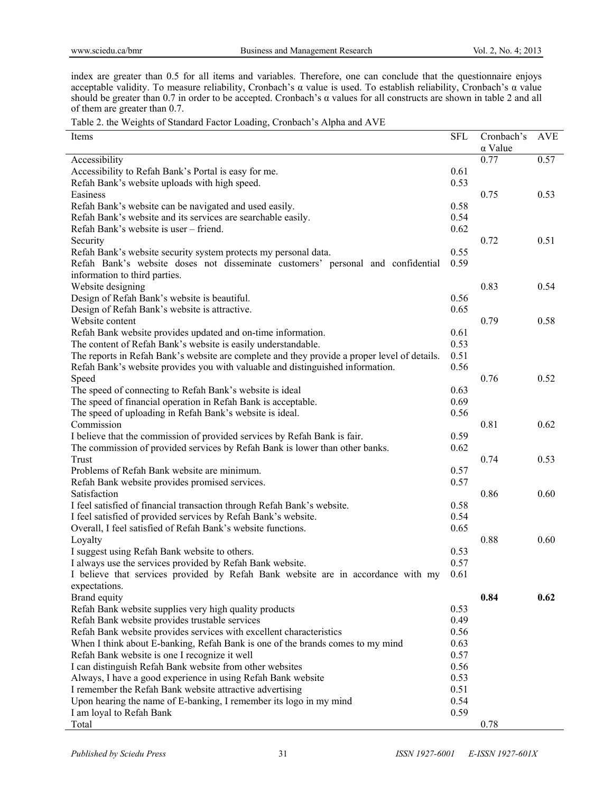index are greater than 0.5 for all items and variables. Therefore, one can conclude that the questionnaire enjoys acceptable validity. To measure reliability, Cronbach's α value is used. To establish reliability, Cronbach's α value should be greater than 0.7 in order to be accepted. Cronbach's α values for all constructs are shown in table 2 and all of them are greater than 0.7.

|  | Table 2. the Weights of Standard Factor Loading, Cronbach's Alpha and AVE |  |  |
|--|---------------------------------------------------------------------------|--|--|
|  |                                                                           |  |  |

| Items                                                                                        | <b>SFL</b> | Cronbach's<br>$\alpha$ Value | AVE  |
|----------------------------------------------------------------------------------------------|------------|------------------------------|------|
| Accessibility                                                                                |            | 0.77                         | 0.57 |
| Accessibility to Refah Bank's Portal is easy for me.                                         | 0.61       |                              |      |
| Refah Bank's website uploads with high speed.                                                | 0.53       |                              |      |
| Easiness                                                                                     |            | 0.75                         | 0.53 |
| Refah Bank's website can be navigated and used easily.                                       | 0.58       |                              |      |
| Refah Bank's website and its services are searchable easily.                                 | 0.54       |                              |      |
| Refah Bank's website is user – friend.                                                       | 0.62       |                              |      |
| Security                                                                                     |            | 0.72                         | 0.51 |
| Refah Bank's website security system protects my personal data.                              | 0.55       |                              |      |
| Refah Bank's website doses not disseminate customers' personal and confidential              | 0.59       |                              |      |
| information to third parties.                                                                |            |                              |      |
| Website designing                                                                            |            | 0.83                         | 0.54 |
| Design of Refah Bank's website is beautiful.                                                 | 0.56       |                              |      |
| Design of Refah Bank's website is attractive.                                                | 0.65       |                              |      |
| Website content                                                                              |            | 0.79                         | 0.58 |
| Refah Bank website provides updated and on-time information.                                 | 0.61       |                              |      |
| The content of Refah Bank's website is easily understandable.                                | 0.53       |                              |      |
| The reports in Refah Bank's website are complete and they provide a proper level of details. | 0.51       |                              |      |
| Refah Bank's website provides you with valuable and distinguished information.               | 0.56       |                              |      |
| Speed                                                                                        |            | 0.76                         | 0.52 |
| The speed of connecting to Refah Bank's website is ideal                                     | 0.63       |                              |      |
| The speed of financial operation in Refah Bank is acceptable.                                | 0.69       |                              |      |
| The speed of uploading in Refah Bank's website is ideal.                                     | 0.56       |                              |      |
| Commission                                                                                   |            | 0.81                         | 0.62 |
| I believe that the commission of provided services by Refah Bank is fair.                    | 0.59       |                              |      |
| The commission of provided services by Refah Bank is lower than other banks.                 | 0.62       |                              |      |
| Trust                                                                                        |            | 0.74                         | 0.53 |
| Problems of Refah Bank website are minimum.                                                  | 0.57       |                              |      |
| Refah Bank website provides promised services.                                               | 0.57       |                              |      |
| Satisfaction                                                                                 |            | 0.86                         | 0.60 |
| I feel satisfied of financial transaction through Refah Bank's website.                      | 0.58       |                              |      |
| I feel satisfied of provided services by Refah Bank's website.                               | 0.54       |                              |      |
| Overall, I feel satisfied of Refah Bank's website functions.                                 | 0.65       |                              |      |
| Loyalty                                                                                      |            | 0.88                         | 0.60 |
| I suggest using Refah Bank website to others.                                                | 0.53       |                              |      |
| I always use the services provided by Refah Bank website.                                    | 0.57       |                              |      |
| I believe that services provided by Refah Bank website are in accordance with my             | 0.61       |                              |      |
| expectations.                                                                                |            |                              |      |
| Brand equity                                                                                 |            | 0.84                         | 0.62 |
| Refah Bank website supplies very high quality products                                       | 0.53       |                              |      |
| Refah Bank website provides trustable services                                               | 0.49       |                              |      |
| Refah Bank website provides services with excellent characteristics                          | 0.56       |                              |      |
| When I think about E-banking, Refah Bank is one of the brands comes to my mind               | 0.63       |                              |      |
| Refah Bank website is one I recognize it well                                                | 0.57       |                              |      |
| I can distinguish Refah Bank website from other websites                                     | 0.56       |                              |      |
| Always, I have a good experience in using Refah Bank website                                 | 0.53       |                              |      |
| I remember the Refah Bank website attractive advertising                                     | 0.51       |                              |      |
| Upon hearing the name of E-banking, I remember its logo in my mind                           | 0.54       |                              |      |
| I am loyal to Refah Bank                                                                     | 0.59       |                              |      |
| Total                                                                                        |            | 0.78                         |      |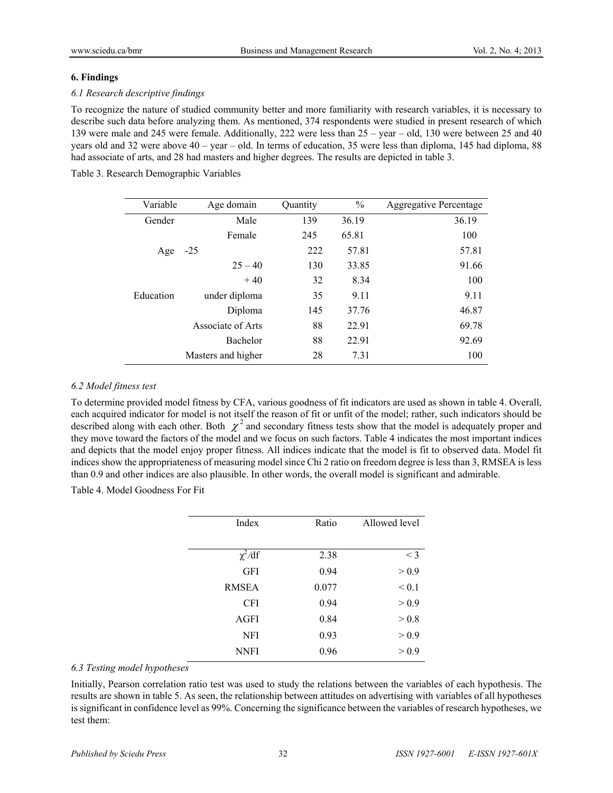#### **6. Findings**

#### *6.1 Research descriptive findings*

To recognize the nature of studied community better and more familiarity with research variables, it is necessary to describe such data before analyzing them. As mentioned, 374 respondents were studied in present research of which 139 were male and 245 were female. Additionally, 222 were less than 25 – year – old, 130 were between 25 and 40 years old and 32 were above 40 – year – old. In terms of education, 35 were less than diploma, 145 had diploma, 88 had associate of arts, and 28 had masters and higher degrees. The results are depicted in table 3.

Table 3. Research Demographic Variables

| Variable  | Age domain         | Quantity | $\frac{0}{0}$ | <b>Aggregative Percentage</b> |
|-----------|--------------------|----------|---------------|-------------------------------|
| Gender    | Male               | 139      | 36.19         | 36.19                         |
|           | Female             | 245      | 65.81         | 100                           |
| Age       | $-25$              | 222      | 57.81         | 57.81                         |
|           | $25 - 40$          | 130      | 33.85         | 91.66                         |
|           | $+40$              | 32       | 8.34          | 100                           |
| Education | under diploma      | 35       | 9.11          | 9.11                          |
|           | Diploma            | 145      | 37.76         | 46.87                         |
|           | Associate of Arts  | 88       | 22.91         | 69.78                         |
|           | <b>Bachelor</b>    | 88       | 22.91         | 92.69                         |
|           | Masters and higher | 28       | 7.31          | 100                           |

#### *6.2 Model fitness test*

To determine provided model fitness by CFA, various goodness of fit indicators are used as shown in table 4. Overall, each acquired indicator for model is not itself the reason of fit or unfit of the model; rather, such indicators should be described along with each other. Both  $\chi^2$  and secondary fitness tests show that the model is adequately proper and they move toward the factors of the model and we focus on such factors. Table 4 indicates the most important indices and depicts that the model enjoy proper fitness. All indices indicate that the model is fit to observed data. Model fit indices show the appropriateness of measuring model since Chi 2 ratio on freedom degree is less than 3, RMSEA is less than 0.9 and other indices are also plausible. In other words, the overall model is significant and admirable.

Table 4. Model Goodness For Fit

| Index        | Ratio | Allowed level |
|--------------|-------|---------------|
|              |       |               |
| $\chi^2/df$  | 2.38  | $<$ 3         |
| <b>GFI</b>   | 0.94  | > 0.9         |
| <b>RMSEA</b> | 0.077 | $\leq 0.1$    |
| <b>CFI</b>   | 0.94  | > 0.9         |
| AGFI         | 0.84  | > 0.8         |
| NFI          | 0.93  | > 0.9         |
| <b>NNFI</b>  | 0.96  | > 0.9         |
|              |       |               |

## *6.3 Testing model hypotheses*

Initially, Pearson correlation ratio test was used to study the relations between the variables of each hypothesis. The results are shown in table 5. As seen, the relationship between attitudes on advertising with variables of all hypotheses is significant in confidence level as 99%. Concerning the significance between the variables of research hypotheses, we test them: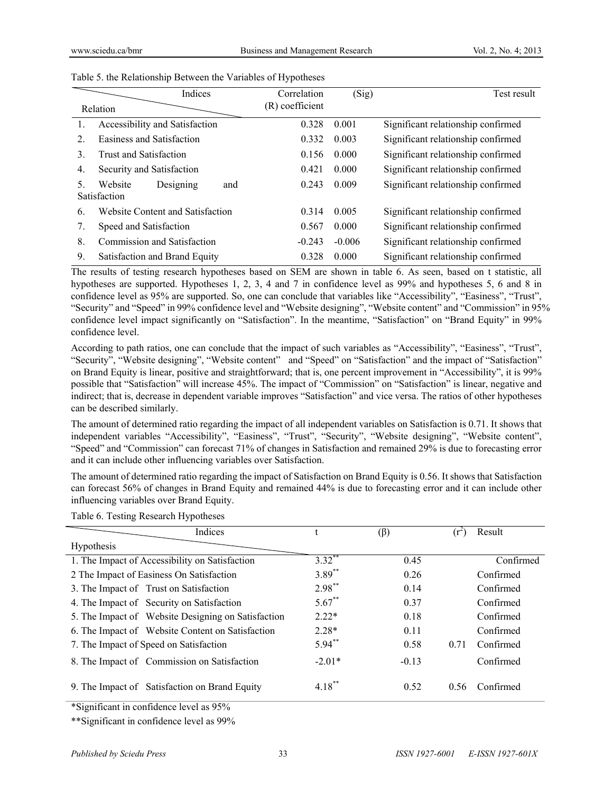|         | Indices                          | Correlation     | (Sig)    | Test result                        |
|---------|----------------------------------|-----------------|----------|------------------------------------|
|         | <b>Relation</b>                  | (R) coefficient |          |                                    |
| 1.      | Accessibility and Satisfaction   | 0.328           | 0.001    | Significant relationship confirmed |
| $2_{-}$ | Easiness and Satisfaction        | 0.332           | 0.003    | Significant relationship confirmed |
| 3.      | Trust and Satisfaction           | 0.156           | 0.000    | Significant relationship confirmed |
| 4.      | Security and Satisfaction        | 0.421           | 0.000    | Significant relationship confirmed |
| 5.      | Website<br>Designing<br>and      | 0.243           | 0.009    | Significant relationship confirmed |
|         | <b>Satisfaction</b>              |                 |          |                                    |
| 6.      | Website Content and Satisfaction | 0.314           | 0.005    | Significant relationship confirmed |
| 7.      | Speed and Satisfaction           | 0.567           | 0.000    | Significant relationship confirmed |
| 8.      | Commission and Satisfaction      | $-0.243$        | $-0.006$ | Significant relationship confirmed |
| 9.      | Satisfaction and Brand Equity    | 0.328           | 0.000    | Significant relationship confirmed |

Table 5. the Relationship Between the Variables of Hypotheses

The results of testing research hypotheses based on SEM are shown in table 6. As seen, based on t statistic, all hypotheses are supported. Hypotheses 1, 2, 3, 4 and 7 in confidence level as 99% and hypotheses 5, 6 and 8 in confidence level as 95% are supported. So, one can conclude that variables like "Accessibility", "Easiness", "Trust", "Security" and "Speed" in 99% confidence level and "Website designing", "Website content" and "Commission" in 95% confidence level impact significantly on "Satisfaction". In the meantime, "Satisfaction" on "Brand Equity" in 99% confidence level.

According to path ratios, one can conclude that the impact of such variables as "Accessibility", "Easiness", "Trust", "Security", "Website designing", "Website content" and "Speed" on "Satisfaction" and the impact of "Satisfaction" on Brand Equity is linear, positive and straightforward; that is, one percent improvement in "Accessibility", it is 99% possible that "Satisfaction" will increase 45%. The impact of "Commission" on "Satisfaction" is linear, negative and indirect; that is, decrease in dependent variable improves "Satisfaction" and vice versa. The ratios of other hypotheses can be described similarly.

The amount of determined ratio regarding the impact of all independent variables on Satisfaction is 0.71. It shows that independent variables "Accessibility", "Easiness", "Trust", "Security", "Website designing", "Website content", "Speed" and "Commission" can forecast 71% of changes in Satisfaction and remained 29% is due to forecasting error and it can include other influencing variables over Satisfaction.

The amount of determined ratio regarding the impact of Satisfaction on Brand Equity is 0.56. It shows that Satisfaction can forecast 56% of changes in Brand Equity and remained 44% is due to forecasting error and it can include other influencing variables over Brand Equity.

| Indices                                            |           | $(\beta)$ |      | Result    |
|----------------------------------------------------|-----------|-----------|------|-----------|
| <b>Hypothesis</b>                                  |           |           |      |           |
| 1. The Impact of Accessibility on Satisfaction     | $3.32$ ** | 0.45      |      | Confirmed |
| 2 The Impact of Easiness On Satisfaction           | $3.89***$ | 0.26      |      | Confirmed |
| 3. The Impact of Trust on Satisfaction             | $2.98***$ | 0.14      |      | Confirmed |
| 4. The Impact of Security on Satisfaction          | $5.67$ ** | 0.37      |      | Confirmed |
| 5. The Impact of Website Designing on Satisfaction | $2.22*$   | 0.18      |      | Confirmed |
| 6. The Impact of Website Content on Satisfaction   | $2.28*$   | 0.11      |      | Confirmed |
| 7. The Impact of Speed on Satisfaction             | $5.94$ ** | 0.58      | 0.71 | Confirmed |
| 8. The Impact of Commission on Satisfaction        | $-2.01*$  | $-0.13$   |      | Confirmed |
| 9. The Impact of Satisfaction on Brand Equity      | $4.18***$ | 0.52      | 0.56 | Confirmed |

Table 6. Testing Research Hypotheses

\*Significant in confidence level as 95%

\*\*Significant in confidence level as 99%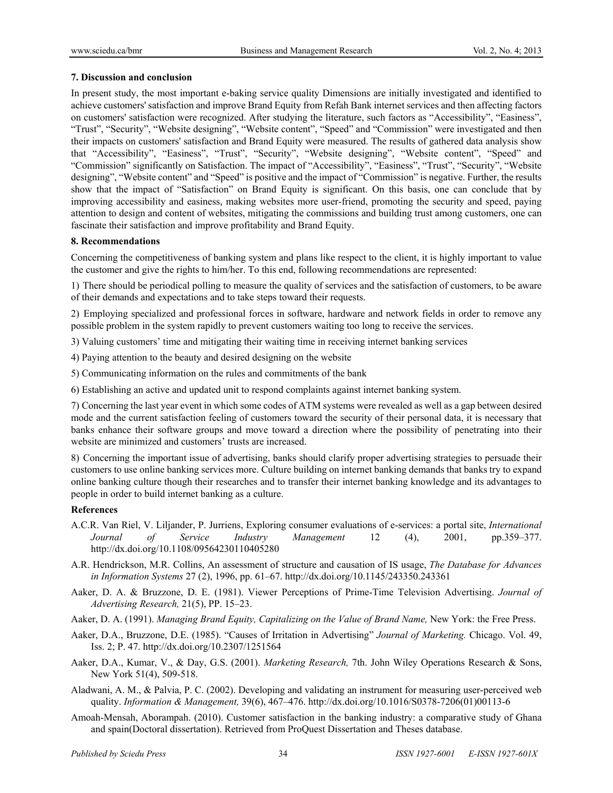## **7. Discussion and conclusion**

In present study, the most important e-baking service quality Dimensions are initially investigated and identified to achieve customers' satisfaction and improve Brand Equity from Refah Bank internet services and then affecting factors on customers' satisfaction were recognized. After studying the literature, such factors as "Accessibility", "Easiness", "Trust", "Security", "Website designing", "Website content", "Speed" and "Commission" were investigated and then their impacts on customers' satisfaction and Brand Equity were measured. The results of gathered data analysis show that "Accessibility", "Easiness", "Trust", "Security", "Website designing", "Website content", "Speed" and "Commission" significantly on Satisfaction. The impact of "Accessibility", "Easiness", "Trust", "Security", "Website designing", "Website content" and "Speed" is positive and the impact of "Commission" is negative. Further, the results show that the impact of "Satisfaction" on Brand Equity is significant. On this basis, one can conclude that by improving accessibility and easiness, making websites more user-friend, promoting the security and speed, paying attention to design and content of websites, mitigating the commissions and building trust among customers, one can fascinate their satisfaction and improve profitability and Brand Equity.

## **8. Recommendations**

Concerning the competitiveness of banking system and plans like respect to the client, it is highly important to value the customer and give the rights to him/her. To this end, following recommendations are represented:

1) There should be periodical polling to measure the quality of services and the satisfaction of customers, to be aware of their demands and expectations and to take steps toward their requests.

2) Employing specialized and professional forces in software, hardware and network fields in order to remove any possible problem in the system rapidly to prevent customers waiting too long to receive the services.

- 3) Valuing customers' time and mitigating their waiting time in receiving internet banking services
- 4) Paying attention to the beauty and desired designing on the website
- 5) Communicating information on the rules and commitments of the bank
- 6) Establishing an active and updated unit to respond complaints against internet banking system.

7) Concerning the last year event in which some codes of ATM systems were revealed as well as a gap between desired mode and the current satisfaction feeling of customers toward the security of their personal data, it is necessary that banks enhance their software groups and move toward a direction where the possibility of penetrating into their website are minimized and customers' trusts are increased.

8) Concerning the important issue of advertising, banks should clarify proper advertising strategies to persuade their customers to use online banking services more. Culture building on internet banking demands that banks try to expand online banking culture though their researches and to transfer their internet banking knowledge and its advantages to people in order to build internet banking as a culture.

# **References**

- A.C.R. Van Riel, V. Liljander, P. Jurriens, Exploring consumer evaluations of e-services: a portal site, *International Journal of Service Industry Management* 12 (4), 2001, pp.359–377. http://dx.doi.org/10.1108/09564230110405280
- A.R. Hendrickson, M.R. Collins, An assessment of structure and causation of IS usage, *The Database for Advances in Information Systems* 27 (2), 1996, pp. 61–67. http://dx.doi.org/10.1145/243350.243361
- Aaker, D. A. & Bruzzone, D. E. (1981). Viewer Perceptions of Prime-Time Television Advertising. *Journal of Advertising Research,* 21(5), PP. 15–23.
- Aaker, D. A. (1991). *Managing Brand Equity, Capitalizing on the Value of Brand Name,* New York: the Free Press.
- Aaker, D.A., Bruzzone, D.E. (1985). "Causes of Irritation in Advertising" *Journal of Marketing.* Chicago. Vol. 49, Iss. 2; P. 47. http://dx.doi.org/10.2307/1251564
- Aaker, D.A., Kumar, V., & Day, G.S. (2001). *Marketing Research,* 7th. John Wiley Operations Research & Sons, New York 51(4), 509-518.
- Aladwani, A. M., & Palvia, P. C. (2002). Developing and validating an instrument for measuring user-perceived web quality. *Information & Management,* 39(6), 467–476. http://dx.doi.org/10.1016/S0378-7206(01)00113-6
- Amoah-Mensah, Aborampah. (2010). Customer satisfaction in the banking industry: a comparative study of Ghana and spain(Doctoral dissertation). Retrieved from ProQuest Dissertation and Theses database.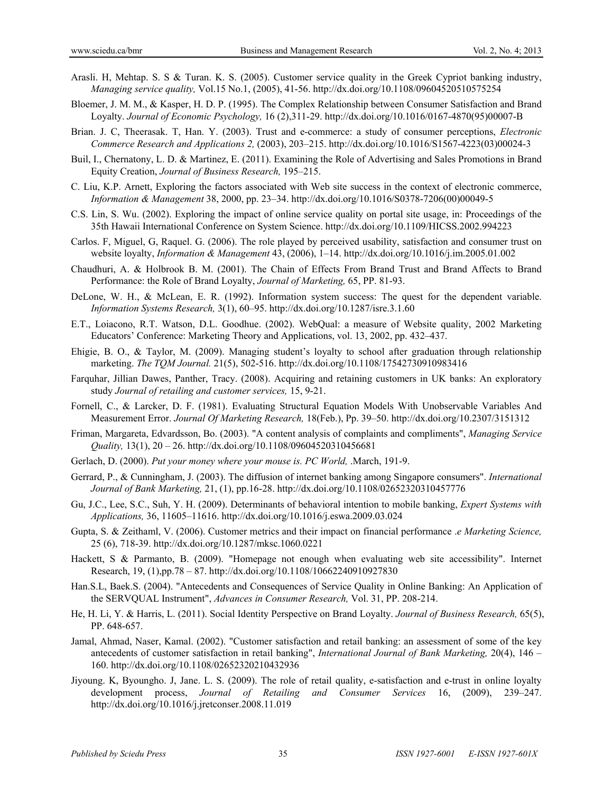- Arasli. H, Mehtap. S. S & Turan. K. S. (2005). Customer service quality in the Greek Cypriot banking industry, *Managing service quality,* Vol.15 No.1, (2005), 41-56. http://dx.doi.org/10.1108/09604520510575254
- Bloemer, J. M. M., & Kasper, H. D. P. (1995). The Complex Relationship between Consumer Satisfaction and Brand Loyalty. *Journal of Economic Psychology,* 16 (2),311-29. http://dx.doi.org/10.1016/0167-4870(95)00007-B
- Brian. J. C, Theerasak. T, Han. Y. (2003). Trust and e-commerce: a study of consumer perceptions, *Electronic Commerce Research and Applications 2,* (2003), 203–215. http://dx.doi.org/10.1016/S1567-4223(03)00024-3
- Buil, I., Chernatony, L. D. & Martinez, E. (2011). Examining the Role of Advertising and Sales Promotions in Brand Equity Creation, *Journal of Business Research,* 195–215.
- C. Liu, K.P. Arnett, Exploring the factors associated with Web site success in the context of electronic commerce, *Information & Management* 38, 2000, pp. 23–34. http://dx.doi.org/10.1016/S0378-7206(00)00049-5
- C.S. Lin, S. Wu. (2002). Exploring the impact of online service quality on portal site usage, in: Proceedings of the 35th Hawaii International Conference on System Science. http://dx.doi.org/10.1109/HICSS.2002.994223
- Carlos. F, Miguel, G, Raquel. G. (2006). The role played by perceived usability, satisfaction and consumer trust on website loyalty, *Information & Management* 43, (2006), 1–14. http://dx.doi.org/10.1016/j.im.2005.01.002
- Chaudhuri, A. & Holbrook B. M. (2001). The Chain of Effects From Brand Trust and Brand Affects to Brand Performance: the Role of Brand Loyalty, *Journal of Marketing,* 65, PP. 81-93.
- DeLone, W. H., & McLean, E. R. (1992). Information system success: The quest for the dependent variable. *Information Systems Research,* 3(1), 60–95. http://dx.doi.org/10.1287/isre.3.1.60
- E.T., Loiacono, R.T. Watson, D.L. Goodhue. (2002). WebQual: a measure of Website quality, 2002 Marketing Educators' Conference: Marketing Theory and Applications, vol. 13, 2002, pp. 432–437.
- Ehigie, B. O., & Taylor, M. (2009). Managing student's loyalty to school after graduation through relationship marketing. *The TQM Journal.* 21(5), 502-516. http://dx.doi.org/10.1108/17542730910983416
- Farquhar, Jillian Dawes, Panther, Tracy. (2008). Acquiring and retaining customers in UK banks: An exploratory study *Journal of retailing and customer services,* 15, 9-21.
- Fornell, C., & Larcker, D. F. (1981). Evaluating Structural Equation Models With Unobservable Variables And Measurement Error. *Journal Of Marketing Research,* 18(Feb.), Pp. 39–50. http://dx.doi.org/10.2307/3151312
- Friman, Margareta, Edvardsson, Bo. (2003). "A content analysis of complaints and compliments", *Managing Service Quality,* 13(1), 20 – 26. http://dx.doi.org/10.1108/09604520310456681
- Gerlach, D. (2000). *Put your money where your mouse is. PC World,* .March, 191-9.
- Gerrard, P., & Cunningham, J. (2003). The diffusion of internet banking among Singapore consumers". *International Journal of Bank Marketing,* 21, (1), pp.16-28. http://dx.doi.org/10.1108/02652320310457776
- Gu, J.C., Lee, S.C., Suh, Y. H. (2009). Determinants of behavioral intention to mobile banking, *Expert Systems with Applications,* 36, 11605–11616. http://dx.doi.org/10.1016/j.eswa.2009.03.024
- Gupta, S. & Zeithaml, V. (2006). Customer metrics and their impact on financial performance .*e Marketing Science,*  25 (6), 718-39. http://dx.doi.org/10.1287/mksc.1060.0221
- Hackett, S & Parmanto, B. (2009). "Homepage not enough when evaluating web site accessibility". Internet Research, 19, (1),pp.78 – 87. http://dx.doi.org/10.1108/10662240910927830
- Han.S.L, Baek.S. (2004). "Antecedents and Consequences of Service Quality in Online Banking: An Application of the SERVQUAL Instrument", *Advances in Consumer Research,* Vol. 31, PP. 208-214.
- He, H. Li, Y. & Harris, L. (2011). Social Identity Perspective on Brand Loyalty. *Journal of Business Research,* 65(5), PP. 648-657.
- Jamal, Ahmad, Naser, Kamal. (2002). "Customer satisfaction and retail banking: an assessment of some of the key antecedents of customer satisfaction in retail banking", *International Journal of Bank Marketing,* 20(4), 146 – 160. http://dx.doi.org/10.1108/02652320210432936
- Jiyoung. K, Byoungho. J, Jane. L. S. (2009). The role of retail quality, e-satisfaction and e-trust in online loyalty development process, *Journal of Retailing and Consumer Services* 16, (2009), 239–247. http://dx.doi.org/10.1016/j.jretconser.2008.11.019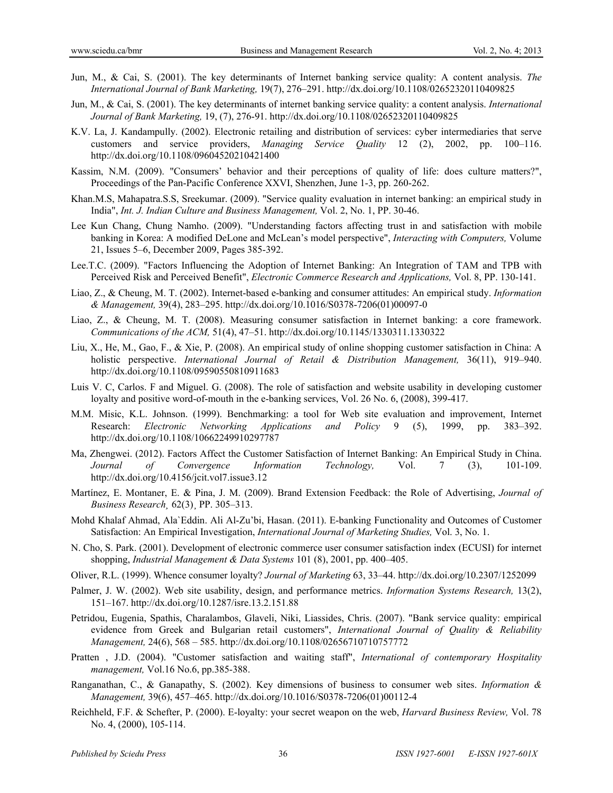- Jun, M., & Cai, S. (2001). The key determinants of Internet banking service quality: A content analysis. *The International Journal of Bank Marketing,* 19(7), 276–291. http://dx.doi.org/10.1108/02652320110409825
- Jun, M., & Cai, S. (2001). The key determinants of internet banking service quality: a content analysis. *International Journal of Bank Marketing,* 19, (7), 276-91. http://dx.doi.org/10.1108/02652320110409825
- K.V. La, J. Kandampully. (2002). Electronic retailing and distribution of services: cyber intermediaries that serve customers and service providers, *Managing Service Quality* 12 (2), 2002, pp. 100–116. http://dx.doi.org/10.1108/09604520210421400
- Kassim, N.M. (2009). "Consumers' behavior and their perceptions of quality of life: does culture matters?", Proceedings of the Pan-Pacific Conference XXVI, Shenzhen, June 1-3, pp. 260-262.
- Khan.M.S, Mahapatra.S.S, Sreekumar. (2009). "Service quality evaluation in internet banking: an empirical study in India", *Int. J. Indian Culture and Business Management,* Vol. 2, No. 1, PP. 30-46.
- Lee Kun Chang, Chung Namho. (2009). "Understanding factors affecting trust in and satisfaction with mobile banking in Korea: A modified DeLone and McLean's model perspective", *Interacting with Computers,* Volume 21, Issues 5–6, December 2009, Pages 385-392.
- Lee.T.C. (2009). "Factors Influencing the Adoption of Internet Banking: An Integration of TAM and TPB with Perceived Risk and Perceived Benefit", *Electronic Commerce Research and Applications,* Vol. 8, PP. 130-141.
- Liao, Z., & Cheung, M. T. (2002). Internet-based e-banking and consumer attitudes: An empirical study. *Information & Management,* 39(4), 283–295. http://dx.doi.org/10.1016/S0378-7206(01)00097-0
- Liao, Z., & Cheung, M. T. (2008). Measuring consumer satisfaction in Internet banking: a core framework. *Communications of the ACM,* 51(4), 47–51. http://dx.doi.org/10.1145/1330311.1330322
- Liu, X., He, M., Gao, F., & Xie, P. (2008). An empirical study of online shopping customer satisfaction in China: A holistic perspective. *International Journal of Retail & Distribution Management*, 36(11), 919–940. http://dx.doi.org/10.1108/09590550810911683
- Luis V. C, Carlos. F and Miguel. G. (2008). The role of satisfaction and website usability in developing customer loyalty and positive word-of-mouth in the e-banking services, Vol. 26 No. 6, (2008), 399-417.
- M.M. Misic, K.L. Johnson. (1999). Benchmarking: a tool for Web site evaluation and improvement, Internet Research: *Electronic Networking Applications and Policy* 9 (5), 1999, pp. 383–392. http://dx.doi.org/10.1108/10662249910297787
- Ma, Zhengwei. (2012). Factors Affect the Customer Satisfaction of Internet Banking: An Empirical Study in China. *Journal of Convergence Information Technology,* Vol. 7 (3), 101-109. http://dx.doi.org/10.4156/jcit.vol7.issue3.12
- Martínez, E. Montaner, E. & Pina, J. M. (2009). Brand Extension Feedback: the Role of Advertising, *Journal of Business Research¸* 62(3)¸ PP. 305–313.
- Mohd Khalaf Ahmad, Ala`Eddin. Ali Al-Zu'bi, Hasan. (2011). E-banking Functionality and Outcomes of Customer Satisfaction: An Empirical Investigation, *International Journal of Marketing Studies,* Vol. 3, No. 1.
- N. Cho, S. Park. (2001). Development of electronic commerce user consumer satisfaction index (ECUSI) for internet shopping, *Industrial Management & Data Systems* 101 (8), 2001, pp. 400–405.
- Oliver, R.L. (1999). Whence consumer loyalty? *Journal of Marketing* 63, 33–44. http://dx.doi.org/10.2307/1252099
- Palmer, J. W. (2002). Web site usability, design, and performance metrics. *Information Systems Research,* 13(2), 151–167. http://dx.doi.org/10.1287/isre.13.2.151.88
- Petridou, Eugenia, Spathis, Charalambos, Glaveli, Niki, Liassides, Chris. (2007). "Bank service quality: empirical evidence from Greek and Bulgarian retail customers", *International Journal of Quality & Reliability Management,* 24(6), 568 – 585. http://dx.doi.org/10.1108/02656710710757772
- Pratten , J.D. (2004). "Customer satisfaction and waiting staff", *International of contemporary Hospitality management,* Vol.16 No.6, pp.385-388.
- Ranganathan, C., & Ganapathy, S. (2002). Key dimensions of business to consumer web sites. *Information & Management,* 39(6), 457–465. http://dx.doi.org/10.1016/S0378-7206(01)00112-4
- Reichheld, F.F. & Schefter, P. (2000). E-loyalty: your secret weapon on the web, *Harvard Business Review,* Vol. 78 No. 4, (2000), 105-114.